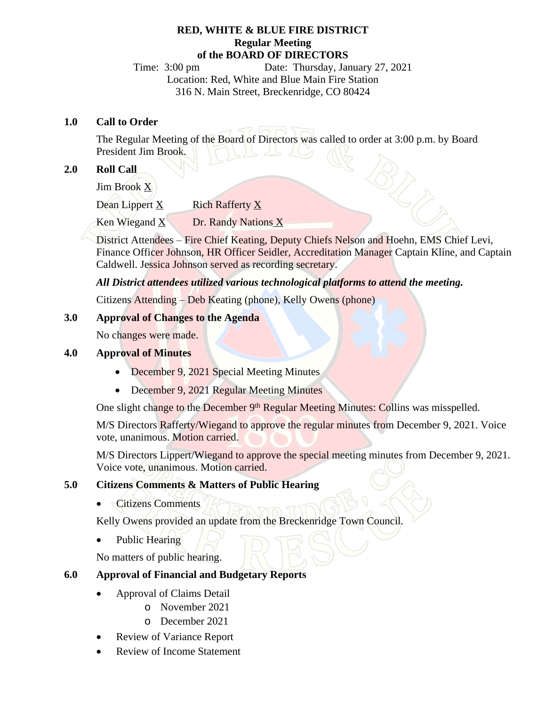#### **RED, WHITE & BLUE FIRE DISTRICT Regular Meeting of the BOARD OF DIRECTORS**

Time: 3:00 pm Date: Thursday, January 27, 2021 Location: Red, White and Blue Main Fire Station 316 N. Main Street, Breckenridge, CO 80424

#### **1.0 Call to Order**

The Regular Meeting of the Board of Directors was called to order at 3:00 p.m. by Board President Jim Brook.

# **2.0 Roll Call**

Jim Brook X

Dean Lippert X Rich Rafferty X

Ken Wiegand  $X$  Dr. Randy Nations  $X$ 

District Attendees – Fire Chief Keating, Deputy Chiefs Nelson and Hoehn, EMS Chief Levi, Finance Officer Johnson, HR Officer Seidler, Accreditation Manager Captain Kline, and Captain Caldwell. Jessica Johnson served as recording secretary.

*All District attendees utilized various technological platforms to attend the meeting.*

Citizens Attending – Deb Keating (phone), Kelly Owens (phone)

### **3.0 Approval of Changes to the Agenda**

No changes were made.

### **4.0 Approval of Minutes**

- December 9, 2021 Special Meeting Minutes
- December 9, 2021 Regular Meeting Minutes

One slight change to the December 9<sup>th</sup> Regular Meeting Minutes: Collins was misspelled.

M/S Directors Rafferty/Wiegand to approve the regular minutes from December 9, 2021. Voice vote, unanimous. Motion carried.

M/S Directors Lippert/Wiegand to approve the special meeting minutes from December 9, 2021. Voice vote, unanimous. Motion carried.

### **5.0 Citizens Comments & Matters of Public Hearing**

• Citizens Comments

Kelly Owens provided an update from the Breckenridge Town Council.

Public Hearing

No matters of public hearing.

### **6.0 Approval of Financial and Budgetary Reports**

- · Approval of Claims Detail
	- o November 2021
	- o December 2021
- · Review of Variance Report
- Review of Income Statement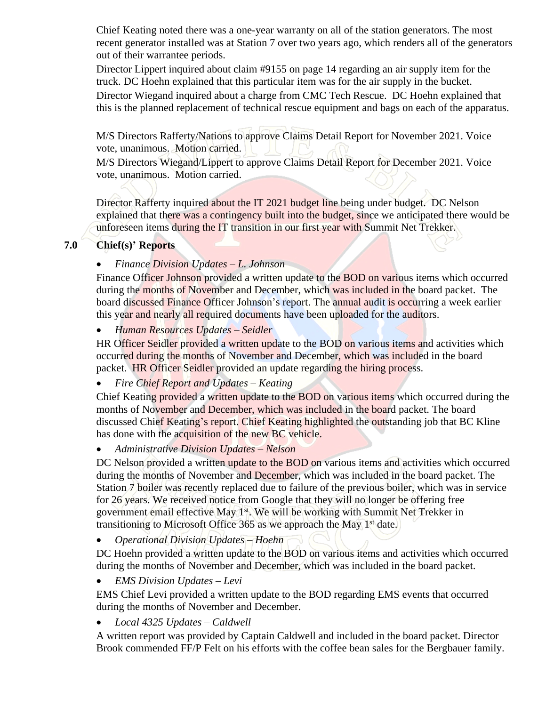Chief Keating noted there was a one-year warranty on all of the station generators. The most recent generator installed was at Station 7 over two years ago, which renders all of the generators out of their warrantee periods.

Director Lippert inquired about claim #9155 on page 14 regarding an air supply item for the truck. DC Hoehn explained that this particular item was for the air supply in the bucket. Director Wiegand inquired about a charge from CMC Tech Rescue. DC Hoehn explained that this is the planned replacement of technical rescue equipment and bags on each of the apparatus.

M/S Directors Rafferty/Nations to approve Claims Detail Report for November 2021. Voice vote, unanimous. Motion carried.

M/S Directors Wiegand/Lippert to approve Claims Detail Report for December 2021. Voice vote, unanimous. Motion carried.

Director Rafferty inquired about the IT 2021 budget line being under budget. DC Nelson explained that there was a contingency built into the budget, since we anticipated there would be unforeseen items during the IT transition in our first year with Summit Net Trekker.

## **7.0 Chief(s)' Reports**

## *Finance Division Updates – L. Johnson*

Finance Officer Johnson provided a written update to the BOD on various items which occurred during the months of November and December, which was included in the board packet. The board discussed Finance Officer Johnson's report. The annual audit is occurring a week earlier this year and nearly all required documents have been uploaded for the auditors.

*Human Resources Updates – Seidler*

HR Officer Seidler provided a written update to the BOD on various items and activities which occurred during the months of November and December, which was included in the board packet. HR Officer Seidler provided an update regarding the hiring process.

*Fire Chief Report and Updates – Keating*

Chief Keating provided a written update to the BOD on various items which occurred during the months of November and December, which was included in the board packet. The board discussed Chief Keating's report. Chief Keating highlighted the outstanding job that BC Kline has done with the acquisition of the new BC vehicle.

*Administrative Division Updates – Nelson*

DC Nelson provided a written update to the BOD on various items and activities which occurred during the months of November and December, which was included in the board packet. The Station 7 boiler was recently replaced due to failure of the previous boiler, which was in service for 26 years. We received notice from Google that they will no longer be offering free government email effective May 1<sup>st</sup>. We will be working with Summit Net Trekker in transitioning to Microsoft Office 365 as we approach the May 1st date.

*Operational Division Updates – Hoehn*

DC Hoehn provided a written update to the BOD on various items and activities which occurred during the months of November and December, which was included in the board packet.

*EMS Division Updates – Levi*

EMS Chief Levi provided a written update to the BOD regarding EMS events that occurred during the months of November and December.

*Local 4325 Updates – Caldwell*

A written report was provided by Captain Caldwell and included in the board packet. Director Brook commended FF/P Felt on his efforts with the coffee bean sales for the Bergbauer family.